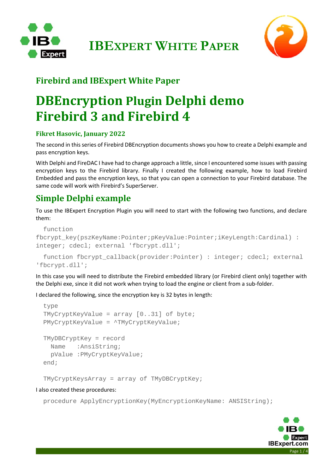



### **Firebird and IBExpert White Paper**

## **DBEncryption Plugin Delphi demo Firebird 3 and Firebird 4**

#### **Fikret Hasovic, January 2022**

The second in this series of Firebird DBEncryption documents shows you how to create a Delphi example and pass encryption keys.

With Delphi and FireDAC I have had to change approach a little, since I encountered some issues with passing encryption keys to the Firebird library. Finally I created the following example, how to load Firebird Embedded and pass the encryption keys, so that you can open a connection to your Firebird database. The same code will work with Firebird's SuperServer.

### **Simple Delphi example**

To use the IBExpert Encryption Plugin you will need to start with the following two functions, and declare them:

```
 function 
fbcrypt_key(pszKeyName:Pointer;pKeyValue:Pointer;iKeyLength:Cardinal) : 
integer; cdecl; external 'fbcrypt.dll'; 
   function fbcrypt_callback(provider:Pointer) : integer; cdecl; external
```
'fbcrypt.dll';

In this case you will need to distribute the Firebird embedded library (or Firebird client only) together with the Delphi exe, since it did not work when trying to load the engine or client from a sub‐folder.

I declared the following, since the encryption key is 32 bytes in length:

```
 type 
 TMyCryptKeyValue = array [0..31] of byte; 
 PMyCryptKeyValue = ^TMyCryptKeyValue; 
 TMyDBCryptKey = record 
   Name :AnsiString; 
   pValue :PMyCryptKeyValue; 
 end;
```
TMyCryptKeysArray = array of TMyDBCryptKey;

#### I also created these procedures:

procedure ApplyEncryptionKey(MyEncryptionKeyName: ANSIString);

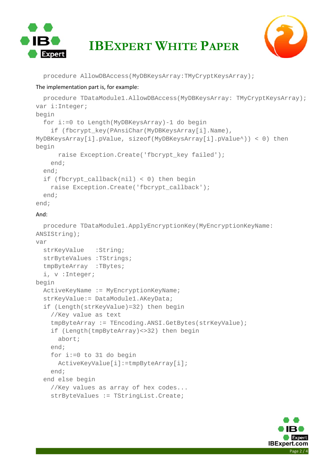

# **IBEXPERT WHITE PAPER**



procedure AllowDBAccess(MyDBKeysArray:TMyCryptKeysArray);

#### The implementation part is, for example:

```
 procedure TDataModule1.AllowDBAccess(MyDBKeysArray: TMyCryptKeysArray); 
var i:Integer; 
begin 
   for i:=0 to Length(MyDBKeysArray)-1 do begin 
     if (fbcrypt_key(PAnsiChar(MyDBKeysArray[i].Name), 
MyDBKeysArray[i].pValue, sizeof(MyDBKeysArray[i].pValue^)) < 0) then 
begin 
       raise Exception.Create('fbcrypt_key failed'); 
     end; 
   end; 
   if (fbcrypt_callback(nil) < 0) then begin 
    raise Exception.Create('fbcrypt_callback');
   end; 
end; 
And: 
   procedure TDataModule1.ApplyEncryptionKey(MyEncryptionKeyName: 
ANSIString); 
var 
  strKeyValue :String;
   strByteValues :TStrings; 
   tmpByteArray :TBytes; 
   i, v :Integer; 
begin 
   ActiveKeyName := MyEncryptionKeyName; 
   strKeyValue:= DataModule1.AKeyData; 
   if (Length(strKeyValue)=32) then begin 
     //Key value as text 
     tmpByteArray := TEncoding.ANSI.GetBytes(strKeyValue); 
     if (Length(tmpByteArray)<>32) then begin 
       abort; 
     end; 
     for i:=0 to 31 do begin 
       ActiveKeyValue[i]:=tmpByteArray[i]; 
     end; 
   end else begin 
     //Key values as array of hex codes... 
     strByteValues := TStringList.Create;
```
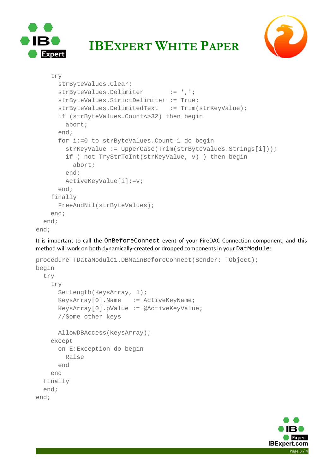

### **IBEXPERT WHITE PAPER**



```
 try 
       strByteValues.Clear; 
      strByteValues.Delimiter := ',';
       strByteValues.StrictDelimiter := True; 
      strByteValues.DelimitedText := Trim(strKeyValue);
       if (strByteValues.Count<>32) then begin 
         abort; 
       end; 
       for i:=0 to strByteValues.Count-1 do begin 
         strKeyValue := UpperCase(Trim(strByteValues.Strings[i])); 
         if ( not TryStrToInt(strKeyValue, v) ) then begin 
           abort; 
         end; 
         ActiveKeyValue[i]:=v; 
       end; 
     finally 
       FreeAndNil(strByteValues); 
     end; 
   end; 
end;
```
It is important to call the OnBeforeConnect event of your FireDAC Connection component, and this method will work on both dynamically-created or dropped components in your DatModule:

```
procedure TDataModule1.DBMainBeforeConnect(Sender: TObject); 
begin 
   try 
     try 
       SetLength(KeysArray, 1); 
      KeysArray[0].Name := ActiveKeyName;
       KeysArray[0].pValue := @ActiveKeyValue; 
       //Some other keys 
       AllowDBAccess(KeysArray); 
     except 
       on E:Exception do begin 
         Raise 
       end 
     end 
   finally 
   end; 
end;
```